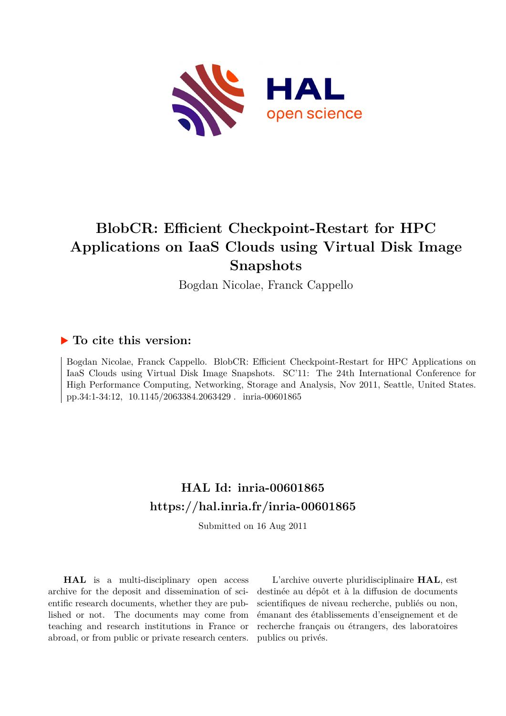

# **BlobCR: Efficient Checkpoint-Restart for HPC Applications on IaaS Clouds using Virtual Disk Image Snapshots**

Bogdan Nicolae, Franck Cappello

# **To cite this version:**

Bogdan Nicolae, Franck Cappello. BlobCR: Efficient Checkpoint-Restart for HPC Applications on IaaS Clouds using Virtual Disk Image Snapshots. SC'11: The 24th International Conference for High Performance Computing, Networking, Storage and Analysis, Nov 2011, Seattle, United States. pp.34:1-34:12, 10.1145/2063384.2063429. inria-00601865

# **HAL Id: inria-00601865 <https://hal.inria.fr/inria-00601865>**

Submitted on 16 Aug 2011

**HAL** is a multi-disciplinary open access archive for the deposit and dissemination of scientific research documents, whether they are published or not. The documents may come from teaching and research institutions in France or abroad, or from public or private research centers.

L'archive ouverte pluridisciplinaire **HAL**, est destinée au dépôt et à la diffusion de documents scientifiques de niveau recherche, publiés ou non, émanant des établissements d'enseignement et de recherche français ou étrangers, des laboratoires publics ou privés.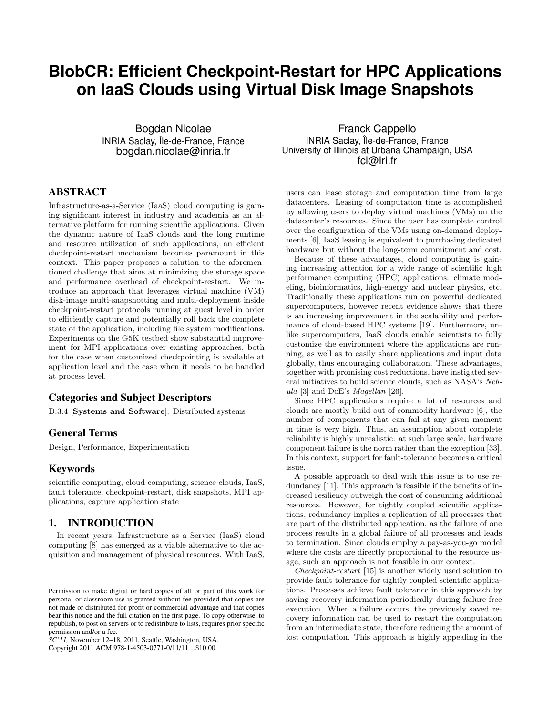# **BlobCR: Efficient Checkpoint-Restart for HPC Applications on IaaS Clouds using Virtual Disk Image Snapshots**

Bogdan Nicolae INRIA Saclay, Île-de-France, France bogdan.nicolae@inria.fr

# **ABSTRACT**

Infrastructure-as-a-Service (IaaS) cloud computing is gaining significant interest in industry and academia as an alternative platform for running scientific applications. Given the dynamic nature of IaaS clouds and the long runtime and resource utilization of such applications, an efficient checkpoint-restart mechanism becomes paramount in this context. This paper proposes a solution to the aforementioned challenge that aims at minimizing the storage space and performance overhead of checkpoint-restart. We introduce an approach that leverages virtual machine (VM) disk-image multi-snapshotting and multi-deployment inside checkpoint-restart protocols running at guest level in order to efficiently capture and potentially roll back the complete state of the application, including file system modifications. Experiments on the G5K testbed show substantial improvement for MPI applications over existing approaches, both for the case when customized checkpointing is available at application level and the case when it needs to be handled at process level.

# **Categories and Subject Descriptors**

D.3.4 [Systems and Software]: Distributed systems

# **General Terms**

Design, Performance, Experimentation

#### **Keywords**

scientific computing, cloud computing, science clouds, IaaS, fault tolerance, checkpoint-restart, disk snapshots, MPI applications, capture application state

# **1. INTRODUCTION**

In recent years, Infrastructure as a Service (IaaS) cloud computing [8] has emerged as a viable alternative to the acquisition and management of physical resources. With IaaS,

Copyright 2011 ACM 978-1-4503-0771-0/11/11 ...\$10.00.

Franck Cappello INRIA Saclay, Île-de-France, France University of Illinois at Urbana Champaign, USA fci@lri.fr

users can lease storage and computation time from large datacenters. Leasing of computation time is accomplished by allowing users to deploy virtual machines (VMs) on the datacenter's resources. Since the user has complete control over the configuration of the VMs using on-demand deployments [6], IaaS leasing is equivalent to purchasing dedicated hardware but without the long-term commitment and cost.

Because of these advantages, cloud computing is gaining increasing attention for a wide range of scientific high performance computing (HPC) applications: climate modeling, bioinformatics, high-energy and nuclear physics, etc. Traditionally these applications run on powerful dedicated supercomputers, however recent evidence shows that there is an increasing improvement in the scalability and performance of cloud-based HPC systems [19]. Furthermore, unlike supercomputers, IaaS clouds enable scientists to fully customize the environment where the applications are running, as well as to easily share applications and input data globally, thus encouraging collaboration. These advantages, together with promising cost reductions, have instigated several initiatives to build science clouds, such as NASA's Nebula [3] and DoE's Magellan [26].

Since HPC applications require a lot of resources and clouds are mostly build out of commodity hardware [6], the number of components that can fail at any given moment in time is very high. Thus, an assumption about complete reliability is highly unrealistic: at such large scale, hardware component failure is the norm rather than the exception [33]. In this context, support for fault-tolerance becomes a critical issue.

A possible approach to deal with this issue is to use redundancy [11]. This approach is feasible if the benefits of increased resiliency outweigh the cost of consuming additional resources. However, for tightly coupled scientific applications, redundancy implies a replication of all processes that are part of the distributed application, as the failure of one process results in a global failure of all processes and leads to termination. Since clouds employ a pay-as-you-go model where the costs are directly proportional to the resource usage, such an approach is not feasible in our context.

Checkpoint-restart [15] is another widely used solution to provide fault tolerance for tightly coupled scientific applications. Processes achieve fault tolerance in this approach by saving recovery information periodically during failure-free execution. When a failure occurs, the previously saved recovery information can be used to restart the computation from an intermediate state, therefore reducing the amount of lost computation. This approach is highly appealing in the

Permission to make digital or hard copies of all or part of this work for personal or classroom use is granted without fee provided that copies are not made or distributed for profit or commercial advantage and that copies bear this notice and the full citation on the first page. To copy otherwise, to republish, to post on servers or to redistribute to lists, requires prior specific permission and/or a fee.

*SC'11,* November 12–18, 2011, Seattle, Washington, USA.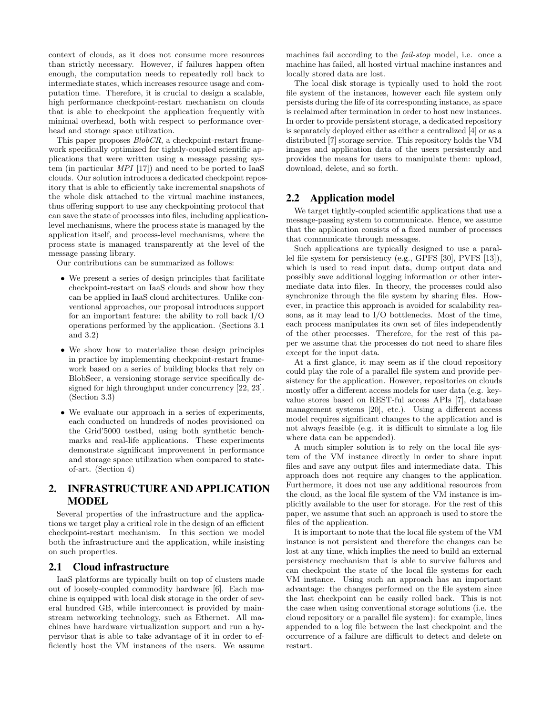context of clouds, as it does not consume more resources than strictly necessary. However, if failures happen often enough, the computation needs to repeatedly roll back to intermediate states, which increases resource usage and computation time. Therefore, it is crucial to design a scalable, high performance checkpoint-restart mechanism on clouds that is able to checkpoint the application frequently with minimal overhead, both with respect to performance overhead and storage space utilization.

This paper proposes *BlobCR*, a checkpoint-restart framework specifically optimized for tightly-coupled scientific applications that were written using a message passing system (in particular MPI [17]) and need to be ported to IaaS clouds. Our solution introduces a dedicated checkpoint repository that is able to efficiently take incremental snapshots of the whole disk attached to the virtual machine instances, thus offering support to use any checkpointing protocol that can save the state of processes into files, including applicationlevel mechanisms, where the process state is managed by the application itself, and process-level mechanisms, where the process state is managed transparently at the level of the message passing library.

Our contributions can be summarized as follows:

- We present a series of design principles that facilitate checkpoint-restart on IaaS clouds and show how they can be applied in IaaS cloud architectures. Unlike conventional approaches, our proposal introduces support for an important feature: the ability to roll back I/O operations performed by the application. (Sections 3.1 and 3.2)
- We show how to materialize these design principles in practice by implementing checkpoint-restart framework based on a series of building blocks that rely on BlobSeer, a versioning storage service specifically designed for high throughput under concurrency [22, 23]. (Section 3.3)
- We evaluate our approach in a series of experiments, each conducted on hundreds of nodes provisioned on the Grid'5000 testbed, using both synthetic benchmarks and real-life applications. These experiments demonstrate significant improvement in performance and storage space utilization when compared to stateof-art. (Section 4)

# **2. INFRASTRUCTURE AND APPLICATION MODEL**

Several properties of the infrastructure and the applications we target play a critical role in the design of an efficient checkpoint-restart mechanism. In this section we model both the infrastructure and the application, while insisting on such properties.

#### **2.1 Cloud infrastructure**

IaaS platforms are typically built on top of clusters made out of loosely-coupled commodity hardware [6]. Each machine is equipped with local disk storage in the order of several hundred GB, while interconnect is provided by mainstream networking technology, such as Ethernet. All machines have hardware virtualization support and run a hypervisor that is able to take advantage of it in order to efficiently host the VM instances of the users. We assume machines fail according to the fail-stop model, i.e. once a machine has failed, all hosted virtual machine instances and locally stored data are lost.

The local disk storage is typically used to hold the root file system of the instances, however each file system only persists during the life of its corresponding instance, as space is reclaimed after termination in order to host new instances. In order to provide persistent storage, a dedicated repository is separately deployed either as either a centralized [4] or as a distributed [7] storage service. This repository holds the VM images and application data of the users persistently and provides the means for users to manipulate them: upload, download, delete, and so forth.

# **2.2 Application model**

We target tightly-coupled scientific applications that use a message-passing system to communicate. Hence, we assume that the application consists of a fixed number of processes that communicate through messages.

Such applications are typically designed to use a parallel file system for persistency (e.g., GPFS [30], PVFS [13]), which is used to read input data, dump output data and possibly save additional logging information or other intermediate data into files. In theory, the processes could also synchronize through the file system by sharing files. However, in practice this approach is avoided for scalability reasons, as it may lead to I/O bottlenecks. Most of the time, each process manipulates its own set of files independently of the other processes. Therefore, for the rest of this paper we assume that the processes do not need to share files except for the input data.

At a first glance, it may seem as if the cloud repository could play the role of a parallel file system and provide persistency for the application. However, repositories on clouds mostly offer a different access models for user data (e.g. keyvalue stores based on REST-ful access APIs [7], database management systems [20], etc.). Using a different access model requires significant changes to the application and is not always feasible (e.g. it is difficult to simulate a log file where data can be appended).

A much simpler solution is to rely on the local file system of the VM instance directly in order to share input files and save any output files and intermediate data. This approach does not require any changes to the application. Furthermore, it does not use any additional resources from the cloud, as the local file system of the VM instance is implicitly available to the user for storage. For the rest of this paper, we assume that such an approach is used to store the files of the application.

It is important to note that the local file system of the VM instance is not persistent and therefore the changes can be lost at any time, which implies the need to build an external persistency mechanism that is able to survive failures and can checkpoint the state of the local file systems for each VM instance. Using such an approach has an important advantage: the changes performed on the file system since the last checkpoint can be easily rolled back. This is not the case when using conventional storage solutions (i.e. the cloud repository or a parallel file system): for example, lines appended to a log file between the last checkpoint and the occurrence of a failure are difficult to detect and delete on restart.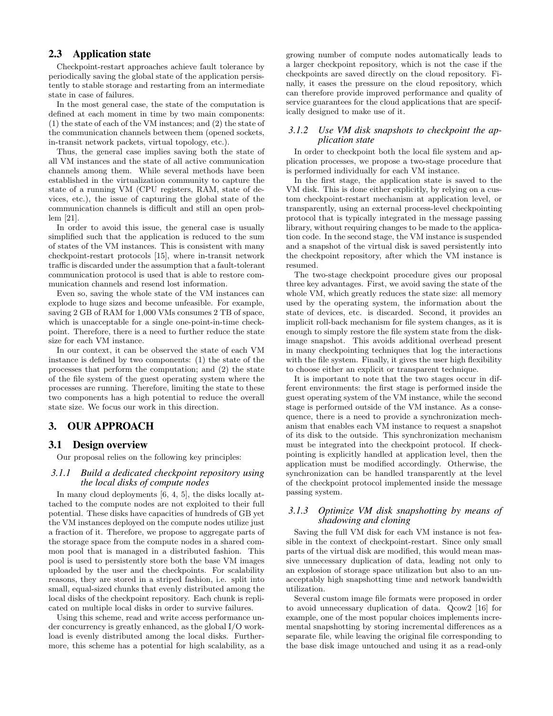# **2.3 Application state**

Checkpoint-restart approaches achieve fault tolerance by periodically saving the global state of the application persistently to stable storage and restarting from an intermediate state in case of failures.

In the most general case, the state of the computation is defined at each moment in time by two main components: (1) the state of each of the VM instances; and (2) the state of the communication channels between them (opened sockets, in-transit network packets, virtual topology, etc.).

Thus, the general case implies saving both the state of all VM instances and the state of all active communication channels among them. While several methods have been established in the virtualization community to capture the state of a running VM (CPU registers, RAM, state of devices, etc.), the issue of capturing the global state of the communication channels is difficult and still an open problem [21].

In order to avoid this issue, the general case is usually simplified such that the application is reduced to the sum of states of the VM instances. This is consistent with many checkpoint-restart protocols [15], where in-transit network traffic is discarded under the assumption that a fault-tolerant communication protocol is used that is able to restore communication channels and resend lost information.

Even so, saving the whole state of the VM instances can explode to huge sizes and become unfeasible. For example, saving 2 GB of RAM for 1,000 VMs consumes 2 TB of space, which is unacceptable for a single one-point-in-time checkpoint. Therefore, there is a need to further reduce the state size for each VM instance.

In our context, it can be observed the state of each VM instance is defined by two components: (1) the state of the processes that perform the computation; and (2) the state of the file system of the guest operating system where the processes are running. Therefore, limiting the state to these two components has a high potential to reduce the overall state size. We focus our work in this direction.

# **3. OUR APPROACH**

#### **3.1 Design overview**

Our proposal relies on the following key principles:

#### *3.1.1 Build a dedicated checkpoint repository using the local disks of compute nodes*

In many cloud deployments [6, 4, 5], the disks locally attached to the compute nodes are not exploited to their full potential. These disks have capacities of hundreds of GB yet the VM instances deployed on the compute nodes utilize just a fraction of it. Therefore, we propose to aggregate parts of the storage space from the compute nodes in a shared common pool that is managed in a distributed fashion. This pool is used to persistently store both the base VM images uploaded by the user and the checkpoints. For scalability reasons, they are stored in a striped fashion, i.e. split into small, equal-sized chunks that evenly distributed among the local disks of the checkpoint repository. Each chunk is replicated on multiple local disks in order to survive failures.

Using this scheme, read and write access performance under concurrency is greatly enhanced, as the global I/O workload is evenly distributed among the local disks. Furthermore, this scheme has a potential for high scalability, as a

growing number of compute nodes automatically leads to a larger checkpoint repository, which is not the case if the checkpoints are saved directly on the cloud repository. Finally, it eases the pressure on the cloud repository, which can therefore provide improved performance and quality of service guarantees for the cloud applications that are specifically designed to make use of it.

#### *3.1.2 Use VM disk snapshots to checkpoint the application state*

In order to checkpoint both the local file system and application processes, we propose a two-stage procedure that is performed individually for each VM instance.

In the first stage, the application state is saved to the VM disk. This is done either explicitly, by relying on a custom checkpoint-restart mechanism at application level, or transparently, using an external process-level checkpointing protocol that is typically integrated in the message passing library, without requiring changes to be made to the application code. In the second stage, the VM instance is suspended and a snapshot of the virtual disk is saved persistently into the checkpoint repository, after which the VM instance is resumed.

The two-stage checkpoint procedure gives our proposal three key advantages. First, we avoid saving the state of the whole VM, which greatly reduces the state size: all memory used by the operating system, the information about the state of devices, etc. is discarded. Second, it provides an implicit roll-back mechanism for file system changes, as it is enough to simply restore the file system state from the diskimage snapshot. This avoids additional overhead present in many checkpointing techniques that log the interactions with the file system. Finally, it gives the user high flexibility to choose either an explicit or transparent technique.

It is important to note that the two stages occur in different environments: the first stage is performed inside the guest operating system of the VM instance, while the second stage is performed outside of the VM instance. As a consequence, there is a need to provide a synchronization mechanism that enables each VM instance to request a snapshot of its disk to the outside. This synchronization mechanism must be integrated into the checkpoint protocol. If checkpointing is explicitly handled at application level, then the application must be modified accordingly. Otherwise, the synchronization can be handled transparently at the level of the checkpoint protocol implemented inside the message passing system.

#### *3.1.3 Optimize VM disk snapshotting by means of shadowing and cloning*

Saving the full VM disk for each VM instance is not feasible in the context of checkpoint-restart. Since only small parts of the virtual disk are modified, this would mean massive unnecessary duplication of data, leading not only to an explosion of storage space utilization but also to an unacceptably high snapshotting time and network bandwidth utilization.

Several custom image file formats were proposed in order to avoid unnecessary duplication of data. Qcow2 [16] for example, one of the most popular choices implements incremental snapshotting by storing incremental differences as a separate file, while leaving the original file corresponding to the base disk image untouched and using it as a read-only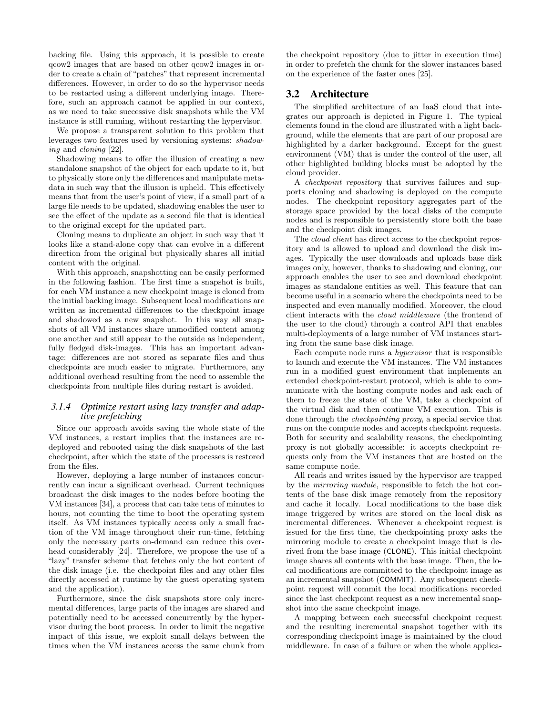backing file. Using this approach, it is possible to create qcow2 images that are based on other qcow2 images in order to create a chain of "patches" that represent incremental differences. However, in order to do so the hypervisor needs to be restarted using a different underlying image. Therefore, such an approach cannot be applied in our context, as we need to take successive disk snapshots while the VM instance is still running, without restarting the hypervisor.

We propose a transparent solution to this problem that leverages two features used by versioning systems: shadowing and cloning [22].

Shadowing means to offer the illusion of creating a new standalone snapshot of the object for each update to it, but to physically store only the differences and manipulate metadata in such way that the illusion is upheld. This effectively means that from the user's point of view, if a small part of a large file needs to be updated, shadowing enables the user to see the effect of the update as a second file that is identical to the original except for the updated part.

Cloning means to duplicate an object in such way that it looks like a stand-alone copy that can evolve in a different direction from the original but physically shares all initial content with the original.

With this approach, snapshotting can be easily performed in the following fashion. The first time a snapshot is built, for each VM instance a new checkpoint image is cloned from the initial backing image. Subsequent local modifications are written as incremental differences to the checkpoint image and shadowed as a new snapshot. In this way all snapshots of all VM instances share unmodified content among one another and still appear to the outside as independent, fully fledged disk-images. This has an important advantage: differences are not stored as separate files and thus checkpoints are much easier to migrate. Furthermore, any additional overhead resulting from the need to assemble the checkpoints from multiple files during restart is avoided.

#### *3.1.4 Optimize restart using lazy transfer and adaptive prefetching*

Since our approach avoids saving the whole state of the VM instances, a restart implies that the instances are redeployed and rebooted using the disk snapshots of the last checkpoint, after which the state of the processes is restored from the files.

However, deploying a large number of instances concurrently can incur a significant overhead. Current techniques broadcast the disk images to the nodes before booting the VM instances [34], a process that can take tens of minutes to hours, not counting the time to boot the operating system itself. As VM instances typically access only a small fraction of the VM image throughout their run-time, fetching only the necessary parts on-demand can reduce this overhead considerably [24]. Therefore, we propose the use of a "lazy" transfer scheme that fetches only the hot content of the disk image (i.e. the checkpoint files and any other files directly accessed at runtime by the guest operating system and the application).

Furthermore, since the disk snapshots store only incremental differences, large parts of the images are shared and potentially need to be accessed concurrently by the hypervisor during the boot process. In order to limit the negative impact of this issue, we exploit small delays between the times when the VM instances access the same chunk from

the checkpoint repository (due to jitter in execution time) in order to prefetch the chunk for the slower instances based on the experience of the faster ones [25].

### **3.2 Architecture**

The simplified architecture of an IaaS cloud that integrates our approach is depicted in Figure 1. The typical elements found in the cloud are illustrated with a light background, while the elements that are part of our proposal are highlighted by a darker background. Except for the guest environment (VM) that is under the control of the user, all other highlighted building blocks must be adopted by the cloud provider.

A checkpoint repository that survives failures and supports cloning and shadowing is deployed on the compute nodes. The checkpoint repository aggregates part of the storage space provided by the local disks of the compute nodes and is responsible to persistently store both the base and the checkpoint disk images.

The cloud client has direct access to the checkpoint repository and is allowed to upload and download the disk images. Typically the user downloads and uploads base disk images only, however, thanks to shadowing and cloning, our approach enables the user to see and download checkpoint images as standalone entities as well. This feature that can become useful in a scenario where the checkpoints need to be inspected and even manually modified. Moreover, the cloud client interacts with the cloud middleware (the frontend of the user to the cloud) through a control API that enables multi-deployments of a large number of VM instances starting from the same base disk image.

Each compute node runs a hypervisor that is responsible to launch and execute the VM instances. The VM instances run in a modified guest environment that implements an extended checkpoint-restart protocol, which is able to communicate with the hosting compute nodes and ask each of them to freeze the state of the VM, take a checkpoint of the virtual disk and then continue VM execution. This is done through the checkpointing proxy, a special service that runs on the compute nodes and accepts checkpoint requests. Both for security and scalability reasons, the checkpointing proxy is not globally accessible: it accepts checkpoint requests only from the VM instances that are hosted on the same compute node.

All reads and writes issued by the hypervisor are trapped by the mirroring module, responsible to fetch the hot contents of the base disk image remotely from the repository and cache it locally. Local modifications to the base disk image triggered by writes are stored on the local disk as incremental differences. Whenever a checkpoint request is issued for the first time, the checkpointing proxy asks the mirroring module to create a checkpoint image that is derived from the base image (CLONE). This initial checkpoint image shares all contents with the base image. Then, the local modifications are committed to the checkpoint image as an incremental snapshot (COMMIT). Any subsequent checkpoint request will commit the local modifications recorded since the last checkpoint request as a new incremental snapshot into the same checkpoint image.

A mapping between each successful checkpoint request and the resulting incremental snapshot together with its corresponding checkpoint image is maintained by the cloud middleware. In case of a failure or when the whole applica-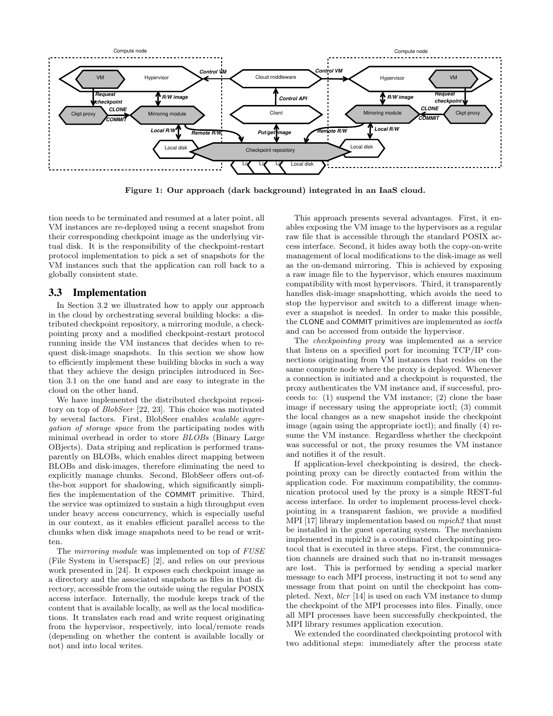

Figure 1: Our approach (dark background) integrated in an IaaS cloud.

tion needs to be terminated and resumed at a later point, all VM instances are re-deployed using a recent snapshot from their corresponding checkpoint image as the underlying virtual disk. It is the responsibility of the checkpoint-restart protocol implementation to pick a set of snapshots for the VM instances such that the application can roll back to a globally consistent state.

### **3.3 Implementation**

In Section 3.2 we illustrated how to apply our approach in the cloud by orchestrating several building blocks: a distributed checkpoint repository, a mirroring module, a checkpointing proxy and a modified checkpoint-restart protocol running inside the VM instances that decides when to request disk-image snapshots. In this section we show how to efficiently implement these building blocks in such a way that they achieve the design principles introduced in Section 3.1 on the one hand and are easy to integrate in the cloud on the other hand.

We have implemented the distributed checkpoint repository on top of BlobSeer [22, 23]. This choice was motivated by several factors. First, BlobSeer enables scalable aggregation of storage space from the participating nodes with minimal overhead in order to store BLOBs (Binary Large OBjects). Data striping and replication is performed transparently on BLOBs, which enables direct mapping between BLOBs and disk-images, therefore eliminating the need to explicitly manage chunks. Second, BlobSeer offers out-ofthe-box support for shadowing, which significantly simplifies the implementation of the COMMIT primitive. Third, the service was optimized to sustain a high throughput even under heavy access concurrency, which is especially useful in our context, as it enables efficient parallel access to the chunks when disk image snapshots need to be read or written.

The *mirroring module* was implemented on top of FUSE (File System in UserspacE) [2], and relies on our previous work presented in [24]. It exposes each checkpoint image as a directory and the associated snapshots as files in that directory, accessible from the outside using the regular POSIX access interface. Internally, the module keeps track of the content that is available locally, as well as the local modifications. It translates each read and write request originating from the hypervisor, respectively, into local/remote reads (depending on whether the content is available locally or not) and into local writes.

This approach presents several advantages. First, it enables exposing the VM image to the hypervisors as a regular raw file that is accessible through the standard POSIX access interface. Second, it hides away both the copy-on-write management of local modifications to the disk-image as well as the on-demand mirroring. This is achieved by exposing a raw image file to the hypervisor, which ensures maximum compatibility with most hypervisors. Third, it transparently handles disk-image snapshotting, which avoids the need to stop the hypervisor and switch to a different image whenever a snapshot is needed. In order to make this possible, the CLONE and COMMIT primitives are implemented as ioctls and can be accessed from outside the hypervisor.

The checkpointing proxy was implemented as a service that listens on a specified port for incoming TCP/IP connections originating from VM instances that resides on the same compute node where the proxy is deployed. Whenever a connection is initiated and a checkpoint is requested, the proxy authenticates the VM instance and, if successful, proceeds to: (1) suspend the VM instance; (2) clone the base image if necessary using the appropriate ioctl; (3) commit the local changes as a new snapshot inside the checkpoint image (again using the appropriate ioctl); and finally (4) resume the VM instance. Regardless whether the checkpoint was successful or not, the proxy resumes the VM instance and notifies it of the result.

If application-level checkpointing is desired, the checkpointing proxy can be directly contacted from within the application code. For maximum compatibility, the communication protocol used by the proxy is a simple REST-ful access interface. In order to implement process-level checkpointing in a transparent fashion, we provide a modified MPI [17] library implementation based on mpich2 that must be installed in the guest operating system. The mechanism implemented in mpich2 is a coordinated checkpointing protocol that is executed in three steps. First, the communication channels are drained such that no in-transit messages are lost. This is performed by sending a special marker message to each MPI process, instructing it not to send any message from that point on until the checkpoint has completed. Next, blcr [14] is used on each VM instance to dump the checkpoint of the MPI processes into files. Finally, once all MPI processes have been successfully checkpointed, the MPI library resumes application execution.

We extended the coordinated checkpointing protocol with two additional steps: immediately after the process state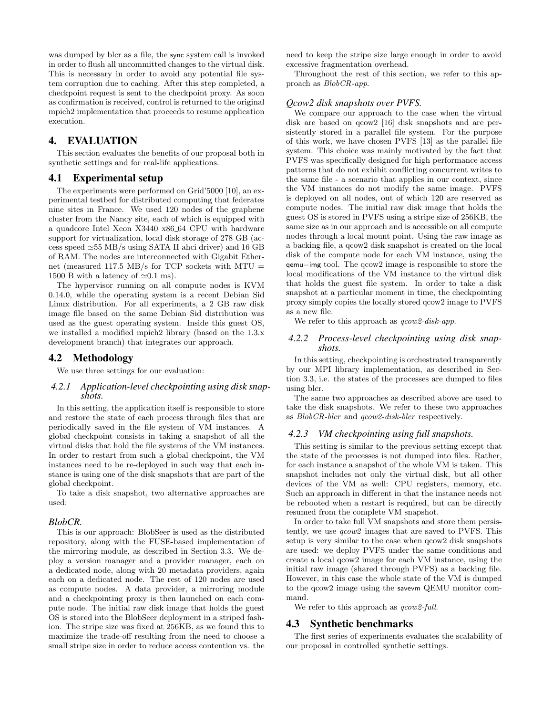was dumped by blcr as a file, the sync system call is invoked in order to flush all uncommitted changes to the virtual disk. This is necessary in order to avoid any potential file system corruption due to caching. After this step completed, a checkpoint request is sent to the checkpoint proxy. As soon as confirmation is received, control is returned to the original mpich2 implementation that proceeds to resume application execution.

### **4. EVALUATION**

This section evaluates the benefits of our proposal both in synthetic settings and for real-life applications.

#### **4.1 Experimental setup**

The experiments were performed on Grid'5000 [10], an experimental testbed for distributed computing that federates nine sites in France. We used 120 nodes of the graphene cluster from the Nancy site, each of which is equipped with a quadcore Intel Xeon X3440 x86 64 CPU with hardware support for virtualization, local disk storage of 278 GB (access speed  $\simeq 55$  MB/s using SATA II ahci driver) and 16 GB of RAM. The nodes are interconnected with Gigabit Ethernet (measured 117.5 MB/s for TCP sockets with MTU  $=$ 1500 B with a latency of  $\simeq 0.1$  ms).

The hypervisor running on all compute nodes is KVM 0.14.0, while the operating system is a recent Debian Sid Linux distribution. For all experiments, a 2 GB raw disk image file based on the same Debian Sid distribution was used as the guest operating system. Inside this guest OS, we installed a modified mpich2 library (based on the 1.3.x development branch) that integrates our approach.

# **4.2 Methodology**

We use three settings for our evaluation:

#### *4.2.1 Application-level checkpointing using disk snapshots.*

In this setting, the application itself is responsible to store and restore the state of each process through files that are periodically saved in the file system of VM instances. A global checkpoint consists in taking a snapshot of all the virtual disks that hold the file systems of the VM instances. In order to restart from such a global checkpoint, the VM instances need to be re-deployed in such way that each instance is using one of the disk snapshots that are part of the global checkpoint.

To take a disk snapshot, two alternative approaches are used:

#### *BlobCR.*

This is our approach: BlobSeer is used as the distributed repository, along with the FUSE-based implementation of the mirroring module, as described in Section 3.3. We deploy a version manager and a provider manager, each on a dedicated node, along with 20 metadata providers, again each on a dedicated node. The rest of 120 nodes are used as compute nodes. A data provider, a mirroring module and a checkpointing proxy is then launched on each compute node. The initial raw disk image that holds the guest OS is stored into the BlobSeer deployment in a striped fashion. The stripe size was fixed at 256KB, as we found this to maximize the trade-off resulting from the need to choose a small stripe size in order to reduce access contention vs. the

need to keep the stripe size large enough in order to avoid excessive fragmentation overhead.

Throughout the rest of this section, we refer to this approach as BlobCR-app.

#### *Qcow2 disk snapshots over PVFS.*

We compare our approach to the case when the virtual disk are based on qcow2 [16] disk snapshots and are persistently stored in a parallel file system. For the purpose of this work, we have chosen PVFS [13] as the parallel file system. This choice was mainly motivated by the fact that PVFS was specifically designed for high performance access patterns that do not exhibit conflicting concurrent writes to the same file - a scenario that applies in our context, since the VM instances do not modify the same image. PVFS is deployed on all nodes, out of which 120 are reserved as compute nodes. The initial raw disk image that holds the guest OS is stored in PVFS using a stripe size of 256KB, the same size as in our approach and is accessible on all compute nodes through a local mount point. Using the raw image as a backing file, a qcow2 disk snapshot is created on the local disk of the compute node for each VM instance, using the qemu−img tool. The qcow2 image is responsible to store the local modifications of the VM instance to the virtual disk that holds the guest file system. In order to take a disk snapshot at a particular moment in time, the checkpointing proxy simply copies the locally stored qcow2 image to PVFS as a new file.

We refer to this approach as  $qcow2\text{-}disk\text{-}app$ .

#### *4.2.2 Process-level checkpointing using disk snapshots.*

In this setting, checkpointing is orchestrated transparently by our MPI library implementation, as described in Section 3.3, i.e. the states of the processes are dumped to files using blcr.

The same two approaches as described above are used to take the disk snapshots. We refer to these two approaches as BlobCR-blcr and qcow2-disk-blcr respectively.

#### *4.2.3 VM checkpointing using full snapshots.*

This setting is similar to the previous setting except that the state of the processes is not dumped into files. Rather, for each instance a snapshot of the whole VM is taken. This snapshot includes not only the virtual disk, but all other devices of the VM as well: CPU registers, memory, etc. Such an approach in different in that the instance needs not be rebooted when a restart is required, but can be directly resumed from the complete VM snapshot.

In order to take full VM snapshots and store them persistently, we use qcow2 images that are saved to PVFS. This setup is very similar to the case when qcow2 disk snapshots are used: we deploy PVFS under the same conditions and create a local qcow2 image for each VM instance, using the initial raw image (shared through PVFS) as a backing file. However, in this case the whole state of the VM is dumped to the qcow2 image using the savevm QEMU monitor command.

We refer to this approach as  $qcow2-full$ .

#### **4.3 Synthetic benchmarks**

The first series of experiments evaluates the scalability of our proposal in controlled synthetic settings.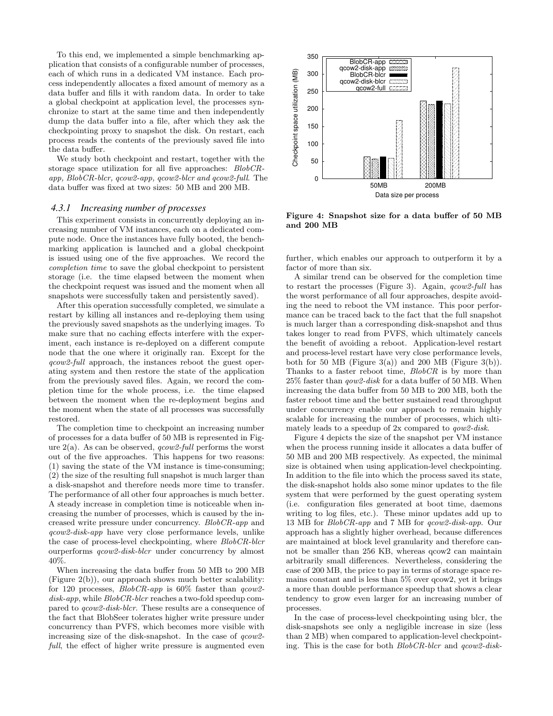To this end, we implemented a simple benchmarking application that consists of a configurable number of processes, each of which runs in a dedicated VM instance. Each process independently allocates a fixed amount of memory as a data buffer and fills it with random data. In order to take a global checkpoint at application level, the processes synchronize to start at the same time and then independently dump the data buffer into a file, after which they ask the checkpointing proxy to snapshot the disk. On restart, each process reads the contents of the previously saved file into the data buffer.

We study both checkpoint and restart, together with the storage space utilization for all five approaches: BlobCRapp, BlobCR-blcr, qcow2-app, qcow2-blcr and qcow2-full. The data buffer was fixed at two sizes: 50 MB and 200 MB.

#### *4.3.1 Increasing number of processes*

This experiment consists in concurrently deploying an increasing number of VM instances, each on a dedicated compute node. Once the instances have fully booted, the benchmarking application is launched and a global checkpoint is issued using one of the five approaches. We record the completion time to save the global checkpoint to persistent storage (i.e. the time elapsed between the moment when the checkpoint request was issued and the moment when all snapshots were successfully taken and persistently saved).

After this operation successfully completed, we simulate a restart by killing all instances and re-deploying them using the previously saved snapshots as the underlying images. To make sure that no caching effects interfere with the experiment, each instance is re-deployed on a different compute node that the one where it originally ran. Except for the qcow2-full approach, the instances reboot the guest operating system and then restore the state of the application from the previously saved files. Again, we record the completion time for the whole process, i.e. the time elapsed between the moment when the re-deployment begins and the moment when the state of all processes was successfully restored.

The completion time to checkpoint an increasing number of processes for a data buffer of 50 MB is represented in Figure  $2(a)$ . As can be observed, *qcow2-full* performs the worst out of the five approaches. This happens for two reasons: (1) saving the state of the VM instance is time-consuming; (2) the size of the resulting full snapshot is much larger than a disk-snapshot and therefore needs more time to transfer. The performance of all other four approaches is much better. A steady increase in completion time is noticeable when increasing the number of processes, which is caused by the increased write pressure under concurrency. BlobCR-app and qcow2-disk-app have very close performance levels, unlike the case of process-level checkpointing, where BlobCR-blcr ourperforms qcow2-disk-blcr under concurrency by almost 40%.

When increasing the data buffer from 50 MB to 200 MB (Figure 2(b)), our approach shows much better scalability: for 120 processes,  $BlobCR-app$  is 60% faster than  $qcow2$ disk-app, while BlobCR-blcr reaches a two-fold speedup compared to qcow2-disk-blcr. These results are a consequence of the fact that BlobSeer tolerates higher write pressure under concurrency than PVFS, which becomes more visible with increasing size of the disk-snapshot. In the case of  $q\text{row}2$ full, the effect of higher write pressure is augmented even



Figure 4: Snapshot size for a data buffer of 50 MB and 200 MB

further, which enables our approach to outperform it by a factor of more than six.

A similar trend can be observed for the completion time to restart the processes (Figure 3). Again, *qcow2-full* has the worst performance of all four approaches, despite avoiding the need to reboot the VM instance. This poor performance can be traced back to the fact that the full snapshot is much larger than a corresponding disk-snapshot and thus takes longer to read from PVFS, which ultimately cancels the benefit of avoiding a reboot. Application-level restart and process-level restart have very close performance levels, both for 50 MB (Figure 3(a)) and 200 MB (Figure 3(b)). Thanks to a faster reboot time, BlobCR is by more than 25% faster than qow2-disk for a data buffer of 50 MB. When increasing the data buffer from 50 MB to 200 MB, both the faster reboot time and the better sustained read throughput under concurrency enable our approach to remain highly scalable for increasing the number of processes, which ultimately leads to a speedup of 2x compared to qow2-disk.

Figure 4 depicts the size of the snapshot per VM instance when the process running inside it allocates a data buffer of 50 MB and 200 MB respectively. As expected, the minimal size is obtained when using application-level checkpointing. In addition to the file into which the process saved its state, the disk-snapshot holds also some minor updates to the file system that were performed by the guest operating system (i.e. configuration files generated at boot time, daemons writing to log files, etc.). These minor updates add up to 13 MB for BlobCR-app and 7 MB for qcow2-disk-app. Our approach has a slightly higher overhead, because differences are maintained at block level granularity and therefore cannot be smaller than 256 KB, whereas qcow2 can maintain arbitrarily small differences. Nevertheless, considering the case of 200 MB, the price to pay in terms of storage space remains constant and is less than  $5\%$  over  $q\text{row2}$ , yet it brings a more than double performance speedup that shows a clear tendency to grow even larger for an increasing number of processes.

In the case of process-level checkpointing using blcr, the disk-snapshots see only a negligible increase in size (less than 2 MB) when compared to application-level checkpointing. This is the case for both BlobCR-blcr and qcow2-disk-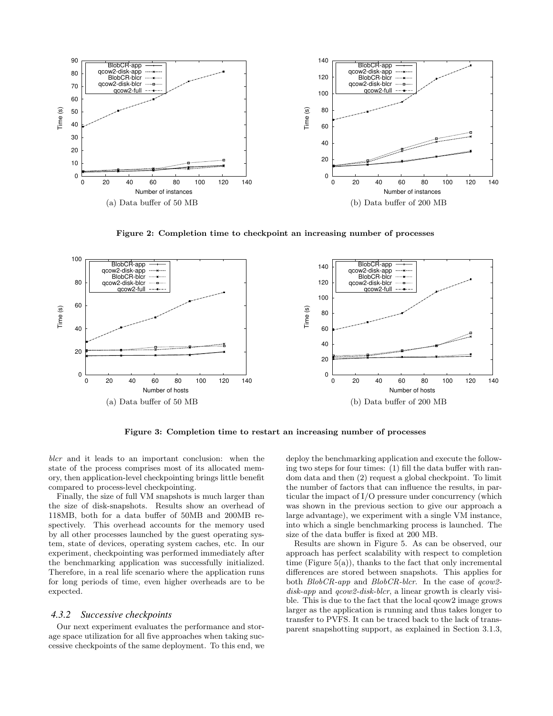

Figure 2: Completion time to checkpoint an increasing number of processes



Figure 3: Completion time to restart an increasing number of processes

blcr and it leads to an important conclusion: when the state of the process comprises most of its allocated memory, then application-level checkpointing brings little benefit compared to process-level checkpointing.

Finally, the size of full VM snapshots is much larger than the size of disk-snapshots. Results show an overhead of 118MB, both for a data buffer of 50MB and 200MB respectively. This overhead accounts for the memory used by all other processes launched by the guest operating system, state of devices, operating system caches, etc. In our experiment, checkpointing was performed immediately after the benchmarking application was successfully initialized. Therefore, in a real life scenario where the application runs for long periods of time, even higher overheads are to be expected.

#### *4.3.2 Successive checkpoints*

Our next experiment evaluates the performance and storage space utilization for all five approaches when taking successive checkpoints of the same deployment. To this end, we deploy the benchmarking application and execute the following two steps for four times: (1) fill the data buffer with random data and then (2) request a global checkpoint. To limit the number of factors that can influence the results, in particular the impact of I/O pressure under concurrency (which was shown in the previous section to give our approach a large advantage), we experiment with a single VM instance, into which a single benchmarking process is launched. The size of the data buffer is fixed at 200 MB.

Results are shown in Figure 5. As can be observed, our approach has perfect scalability with respect to completion time (Figure  $5(a)$ ), thanks to the fact that only incremental differences are stored between snapshots. This applies for both  $BlobCR-app$  and  $BlobCR-blcr$ . In the case of  $qcow2$ disk-app and qcow2-disk-blcr, a linear growth is clearly visible. This is due to the fact that the local qcow2 image grows larger as the application is running and thus takes longer to transfer to PVFS. It can be traced back to the lack of transparent snapshotting support, as explained in Section 3.1.3,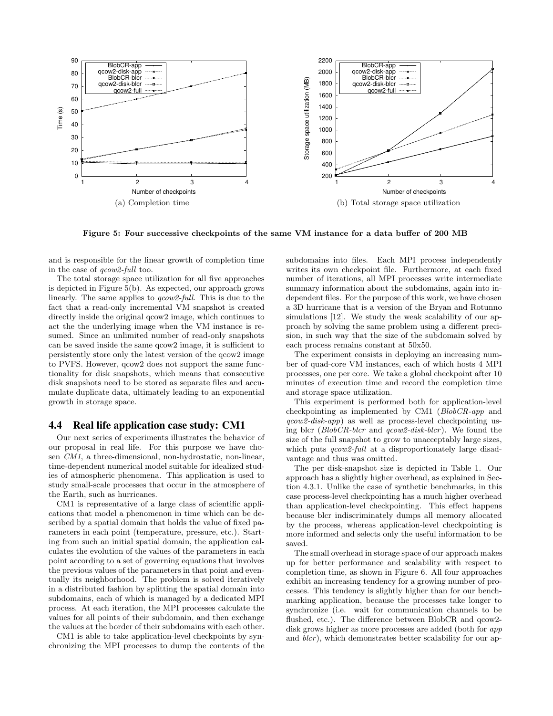

Figure 5: Four successive checkpoints of the same VM instance for a data buffer of 200 MB

and is responsible for the linear growth of completion time in the case of qcow2-full too.

The total storage space utilization for all five approaches is depicted in Figure 5(b). As expected, our approach grows linearly. The same applies to *qcow2-full*. This is due to the fact that a read-only incremental VM snapshot is created directly inside the original  $q_{\text{c}ow2}$  image, which continues to act the the underlying image when the VM instance is resumed. Since an unlimited number of read-only snapshots can be saved inside the same qcow2 image, it is sufficient to persistently store only the latest version of the qcow2 image to PVFS. However, qcow2 does not support the same functionality for disk snapshots, which means that consecutive disk snapshots need to be stored as separate files and accumulate duplicate data, ultimately leading to an exponential growth in storage space.

### **4.4 Real life application case study: CM1**

Our next series of experiments illustrates the behavior of our proposal in real life. For this purpose we have chosen CM1, a three-dimensional, non-hydrostatic, non-linear, time-dependent numerical model suitable for idealized studies of atmospheric phenomena. This application is used to study small-scale processes that occur in the atmosphere of the Earth, such as hurricanes.

CM1 is representative of a large class of scientific applications that model a phenomenon in time which can be described by a spatial domain that holds the value of fixed parameters in each point (temperature, pressure, etc.). Starting from such an initial spatial domain, the application calculates the evolution of the values of the parameters in each point according to a set of governing equations that involves the previous values of the parameters in that point and eventually its neighborhood. The problem is solved iteratively in a distributed fashion by splitting the spatial domain into subdomains, each of which is managed by a dedicated MPI process. At each iteration, the MPI processes calculate the values for all points of their subdomain, and then exchange the values at the border of their subdomains with each other.

CM1 is able to take application-level checkpoints by synchronizing the MPI processes to dump the contents of the subdomains into files. Each MPI process independently writes its own checkpoint file. Furthermore, at each fixed number of iterations, all MPI processes write intermediate summary information about the subdomains, again into independent files. For the purpose of this work, we have chosen a 3D hurricane that is a version of the Bryan and Rotunno simulations [12]. We study the weak scalability of our approach by solving the same problem using a different precision, in such way that the size of the subdomain solved by each process remains constant at 50x50.

The experiment consists in deploying an increasing number of quad-core VM instances, each of which hosts 4 MPI processes, one per core. We take a global checkpoint after 10 minutes of execution time and record the completion time and storage space utilization.

This experiment is performed both for application-level checkpointing as implemented by CM1 (BlobCR-app and qcow2-disk-app) as well as process-level checkpointing using blcr  $(BlobCR\text{-}blcr)$  and  $qcow2\text{-}disk\text{-}blcr)$ . We found the size of the full snapshot to grow to unacceptably large sizes, which puts *qcow2-full* at a disproportionately large disadvantage and thus was omitted.

The per disk-snapshot size is depicted in Table 1. Our approach has a slightly higher overhead, as explained in Section 4.3.1. Unlike the case of synthetic benchmarks, in this case process-level checkpointing has a much higher overhead than application-level checkpointing. This effect happens because blcr indiscriminately dumps all memory allocated by the process, whereas application-level checkpointing is more informed and selects only the useful information to be saved.

The small overhead in storage space of our approach makes up for better performance and scalability with respect to completion time, as shown in Figure 6. All four approaches exhibit an increasing tendency for a growing number of processes. This tendency is slightly higher than for our benchmarking application, because the processes take longer to synchronize (i.e. wait for communication channels to be flushed, etc.). The difference between BlobCR and qcow2disk grows higher as more processes are added (both for *app* and *blcr*), which demonstrates better scalability for our ap-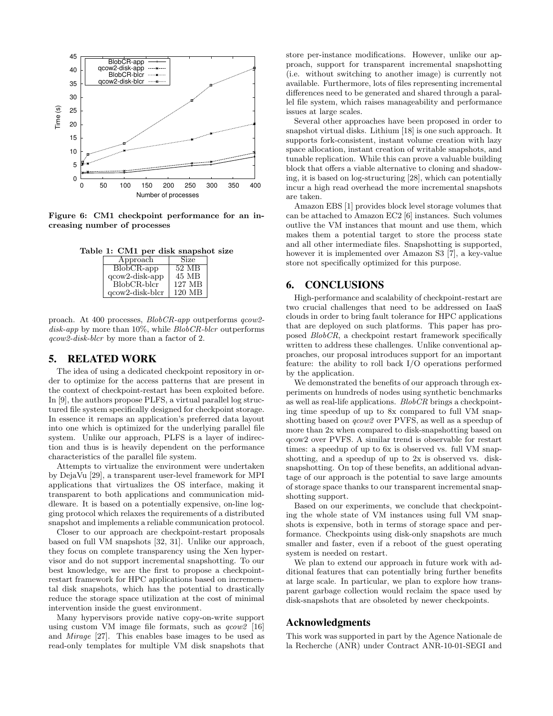

Figure 6: CM1 checkpoint performance for an increasing number of processes

Table 1: CM1 per disk snapshot size

| Approach                | Size   |
|-------------------------|--------|
| $BlobCR$ -app           | 52 MB  |
| $q\text{cow2-disk-app}$ | 45 MB  |
| BlobCR-blcr             | 127 MB |
| $q$ cow2-disk-bl $cr$   | 120 MB |

proach. At 400 processes, BlobCR-app outperforms qcow2 disk-app by more than  $10\%$ , while  $BlobCR\text{-}blcr$  outperforms qcow2-disk-blcr by more than a factor of 2.

#### **5. RELATED WORK**

The idea of using a dedicated checkpoint repository in order to optimize for the access patterns that are present in the context of checkpoint-restart has been exploited before. In [9], the authors propose PLFS, a virtual parallel log structured file system specifically designed for checkpoint storage. In essence it remaps an application's preferred data layout into one which is optimized for the underlying parallel file system. Unlike our approach, PLFS is a layer of indirection and thus is is heavily dependent on the performance characteristics of the parallel file system.

Attempts to virtualize the environment were undertaken by DejaVu [29], a transparent user-level framework for MPI applications that virtualizes the OS interface, making it transparent to both applications and communication middleware. It is based on a potentially expensive, on-line logging protocol which relaxes the requirements of a distributed snapshot and implements a reliable communication protocol.

Closer to our approach are checkpoint-restart proposals based on full VM snapshots [32, 31]. Unlike our approach, they focus on complete transparency using the Xen hypervisor and do not support incremental snapshotting. To our best knowledge, we are the first to propose a checkpointrestart framework for HPC applications based on incremental disk snapshots, which has the potential to drastically reduce the storage space utilization at the cost of minimal intervention inside the guest environment.

Many hypervisors provide native copy-on-write support using custom VM image file formats, such as  $q\text{row2}$  [16] and Mirage [27]. This enables base images to be used as read-only templates for multiple VM disk snapshots that

store per-instance modifications. However, unlike our approach, support for transparent incremental snapshotting (i.e. without switching to another image) is currently not available. Furthermore, lots of files representing incremental differences need to be generated and shared through a parallel file system, which raises manageability and performance issues at large scales.

Several other approaches have been proposed in order to snapshot virtual disks. Lithium [18] is one such approach. It supports fork-consistent, instant volume creation with lazy space allocation, instant creation of writable snapshots, and tunable replication. While this can prove a valuable building block that offers a viable alternative to cloning and shadowing, it is based on log-structuring [28], which can potentially incur a high read overhead the more incremental snapshots are taken.

Amazon EBS [1] provides block level storage volumes that can be attached to Amazon EC2 [6] instances. Such volumes outlive the VM instances that mount and use them, which makes them a potential target to store the process state and all other intermediate files. Snapshotting is supported, however it is implemented over Amazon S3 [7], a key-value store not specifically optimized for this purpose.

## **6. CONCLUSIONS**

High-performance and scalability of checkpoint-restart are two crucial challenges that need to be addressed on IaaS clouds in order to bring fault tolerance for HPC applications that are deployed on such platforms. This paper has proposed BlobCR, a checkpoint restart framework specifically written to address these challenges. Unlike conventional approaches, our proposal introduces support for an important feature: the ability to roll back I/O operations performed by the application.

We demonstrated the benefits of our approach through experiments on hundreds of nodes using synthetic benchmarks as well as real-life applications. BlobCR brings a checkpointing time speedup of up to 8x compared to full VM snapshotting based on qcow2 over PVFS, as well as a speedup of more than 2x when compared to disk-snapshotting based on qcow2 over PVFS. A similar trend is observable for restart times: a speedup of up to 6x is observed vs. full VM snapshotting, and a speedup of up to 2x is observed vs. disksnapshotting. On top of these benefits, an additional advantage of our approach is the potential to save large amounts of storage space thanks to our transparent incremental snapshotting support.

Based on our experiments, we conclude that checkpointing the whole state of VM instances using full VM snapshots is expensive, both in terms of storage space and performance. Checkpoints using disk-only snapshots are much smaller and faster, even if a reboot of the guest operating system is needed on restart.

We plan to extend our approach in future work with additional features that can potentially bring further benefits at large scale. In particular, we plan to explore how transparent garbage collection would reclaim the space used by disk-snapshots that are obsoleted by newer checkpoints.

#### **Acknowledgments**

This work was supported in part by the Agence Nationale de la Recherche (ANR) under Contract ANR-10-01-SEGI and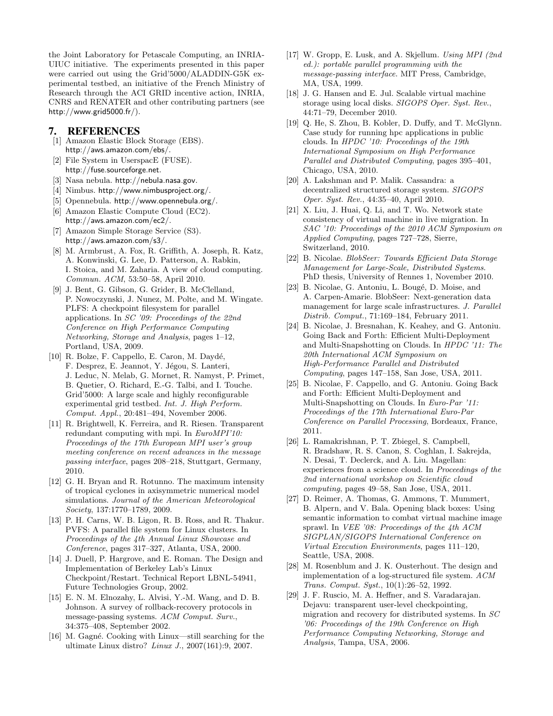the Joint Laboratory for Petascale Computing, an INRIA-UIUC initiative. The experiments presented in this paper were carried out using the Grid'5000/ALADDIN-G5K experimental testbed, an initiative of the French Ministry of Research through the ACI GRID incentive action, INRIA, CNRS and RENATER and other contributing partners (see http://www.grid5000.fr/).

#### **7. REFERENCES**

- [1] Amazon Elastic Block Storage (EBS). http://aws.amazon.com/ebs/.
- [2] File System in UserspacE (FUSE). http://fuse.sourceforge.net.
- [3] Nasa nebula. http://nebula.nasa.gov.
- [4] Nimbus. http://www.nimbusproject.org/.
- [5] Opennebula. http://www.opennebula.org/.
- [6] Amazon Elastic Compute Cloud (EC2). http://aws.amazon.com/ec2/.
- [7] Amazon Simple Storage Service (S3). http://aws.amazon.com/s3/.
- [8] M. Armbrust, A. Fox, R. Griffith, A. Joseph, R. Katz, A. Konwinski, G. Lee, D. Patterson, A. Rabkin, I. Stoica, and M. Zaharia. A view of cloud computing. Commun. ACM, 53:50–58, April 2010.
- [9] J. Bent, G. Gibson, G. Grider, B. McClelland, P. Nowoczynski, J. Nunez, M. Polte, and M. Wingate. PLFS: A checkpoint filesystem for parallel applications. In SC '09: Proceedings of the 22nd Conference on High Performance Computing Networking, Storage and Analysis, pages 1–12, Portland, USA, 2009.
- [10] R. Bolze, F. Cappello, E. Caron, M. Daydé, F. Desprez, E. Jeannot, Y. Jégou, S. Lanteri, J. Leduc, N. Melab, G. Mornet, R. Namyst, P. Primet, B. Quetier, O. Richard, E.-G. Talbi, and I. Touche. Grid'5000: A large scale and highly reconfigurable experimental grid testbed. Int. J. High Perform. Comput. Appl., 20:481–494, November 2006.
- [11] R. Brightwell, K. Ferreira, and R. Riesen. Transparent redundant computing with mpi. In EuroMPI'10: Proceedings of the 17th European MPI user's group meeting conference on recent advances in the message passing interface, pages 208–218, Stuttgart, Germany, 2010.
- [12] G. H. Bryan and R. Rotunno. The maximum intensity of tropical cyclones in axisymmetric numerical model simulations. Journal of the American Meteorological Society, 137:1770–1789, 2009.
- [13] P. H. Carns, W. B. Ligon, R. B. Ross, and R. Thakur. PVFS: A parallel file system for Linux clusters. In Proceedings of the 4th Annual Linux Showcase and Conference, pages 317–327, Atlanta, USA, 2000.
- [14] J. Duell, P. Hargrove, and E. Roman. The Design and Implementation of Berkeley Lab's Linux Checkpoint/Restart. Technical Report LBNL-54941, Future Technologies Group, 2002.
- [15] E. N. M. Elnozahy, L. Alvisi, Y.-M. Wang, and D. B. Johnson. A survey of rollback-recovery protocols in message-passing systems. ACM Comput. Surv., 34:375–408, September 2002.
- [16] M. Gagné. Cooking with Linux—still searching for the ultimate Linux distro? Linux J., 2007(161):9, 2007.
- [17] W. Gropp, E. Lusk, and A. Skjellum. Using MPI (2nd ed.): portable parallel programming with the message-passing interface. MIT Press, Cambridge, MA, USA, 1999.
- [18] J. G. Hansen and E. Jul. Scalable virtual machine storage using local disks. SIGOPS Oper. Syst. Rev., 44:71–79, December 2010.
- [19] Q. He, S. Zhou, B. Kobler, D. Duffy, and T. McGlynn. Case study for running hpc applications in public clouds. In HPDC '10: Proceedings of the 19th International Symposium on High Performance Parallel and Distributed Computing, pages 395–401, Chicago, USA, 2010.
- [20] A. Lakshman and P. Malik. Cassandra: a decentralized structured storage system. SIGOPS Oper. Syst. Rev., 44:35–40, April 2010.
- [21] X. Liu, J. Huai, Q. Li, and T. Wo. Network state consistency of virtual machine in live migration. In SAC '10: Proceedings of the 2010 ACM Symposium on Applied Computing, pages 727–728, Sierre, Switzerland, 2010.
- [22] B. Nicolae. BlobSeer: Towards Efficient Data Storage Management for Large-Scale, Distributed Systems. PhD thesis, University of Rennes 1, November 2010.
- [23] B. Nicolae, G. Antoniu, L. Bougé, D. Moise, and A. Carpen-Amarie. BlobSeer: Next-generation data management for large scale infrastructures. J. Parallel Distrib. Comput., 71:169–184, February 2011.
- [24] B. Nicolae, J. Bresnahan, K. Keahey, and G. Antoniu. Going Back and Forth: Efficient Multi-Deployment and Multi-Snapshotting on Clouds. In HPDC '11: The 20th International ACM Symposium on High-Performance Parallel and Distributed Computing, pages 147–158, San Jose, USA, 2011.
- [25] B. Nicolae, F. Cappello, and G. Antoniu. Going Back and Forth: Efficient Multi-Deployment and Multi-Snapshotting on Clouds. In Euro-Par '11: Proceedings of the 17th International Euro-Par Conference on Parallel Processing, Bordeaux, France, 2011.
- [26] L. Ramakrishnan, P. T. Zbiegel, S. Campbell, R. Bradshaw, R. S. Canon, S. Coghlan, I. Sakrejda, N. Desai, T. Declerck, and A. Liu. Magellan: experiences from a science cloud. In Proceedings of the 2nd international workshop on Scientific cloud computing, pages 49–58, San Jose, USA, 2011.
- [27] D. Reimer, A. Thomas, G. Ammons, T. Mummert, B. Alpern, and V. Bala. Opening black boxes: Using semantic information to combat virtual machine image sprawl. In VEE '08: Proceedings of the 4th ACM SIGPLAN/SIGOPS International Conference on Virtual Execution Environments, pages 111–120, Seattle, USA, 2008.
- [28] M. Rosenblum and J. K. Ousterhout. The design and implementation of a log-structured file system. ACM Trans. Comput. Syst., 10(1):26–52, 1992.
- [29] J. F. Ruscio, M. A. Heffner, and S. Varadarajan. Dejavu: transparent user-level checkpointing, migration and recovery for distributed systems. In SC '06: Proceedings of the 19th Conference on High Performance Computing Networking, Storage and Analysis, Tampa, USA, 2006.